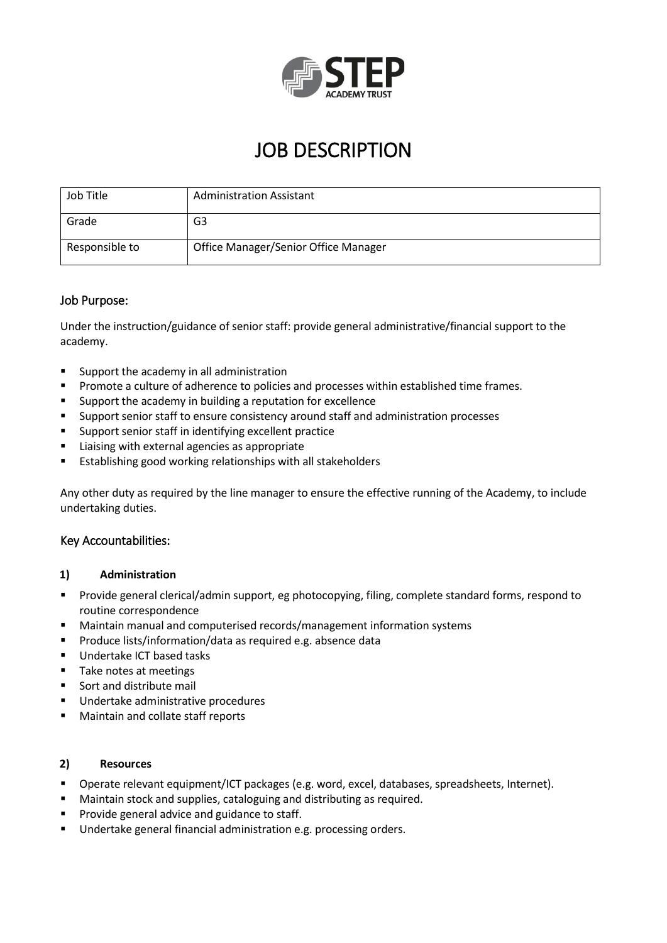

# JOB DESCRIPTION

| Job Title      | <b>Administration Assistant</b>      |
|----------------|--------------------------------------|
| Grade          | G3                                   |
| Responsible to | Office Manager/Senior Office Manager |

# Job Purpose:

Under the instruction/guidance of senior staff: provide general administrative/financial support to the academy.

- Support the academy in all administration
- **Promote a culture of adherence to policies and processes within established time frames.**
- Support the academy in building a reputation for excellence
- Support senior staff to ensure consistency around staff and administration processes
- Support senior staff in identifying excellent practice
- **EXTER** Liaising with external agencies as appropriate
- **Establishing good working relationships with all stakeholders**

Any other duty as required by the line manager to ensure the effective running of the Academy, to include undertaking duties.

# Key Accountabilities:

#### **1) Administration**

- Provide general clerical/admin support, eg photocopying, filing, complete standard forms, respond to routine correspondence
- Maintain manual and computerised records/management information systems
- **Produce lists/information/data as required e.g. absence data**
- **Undertake ICT based tasks**
- **Take notes at meetings**
- Sort and distribute mail
- **Undertake administrative procedures**
- **Maintain and collate staff reports**

#### **2) Resources**

- Operate relevant equipment/ICT packages (e.g. word, excel, databases, spreadsheets, Internet).
- Maintain stock and supplies, cataloguing and distributing as required.
- **Provide general advice and guidance to staff.**
- **Undertake general financial administration e.g. processing orders.**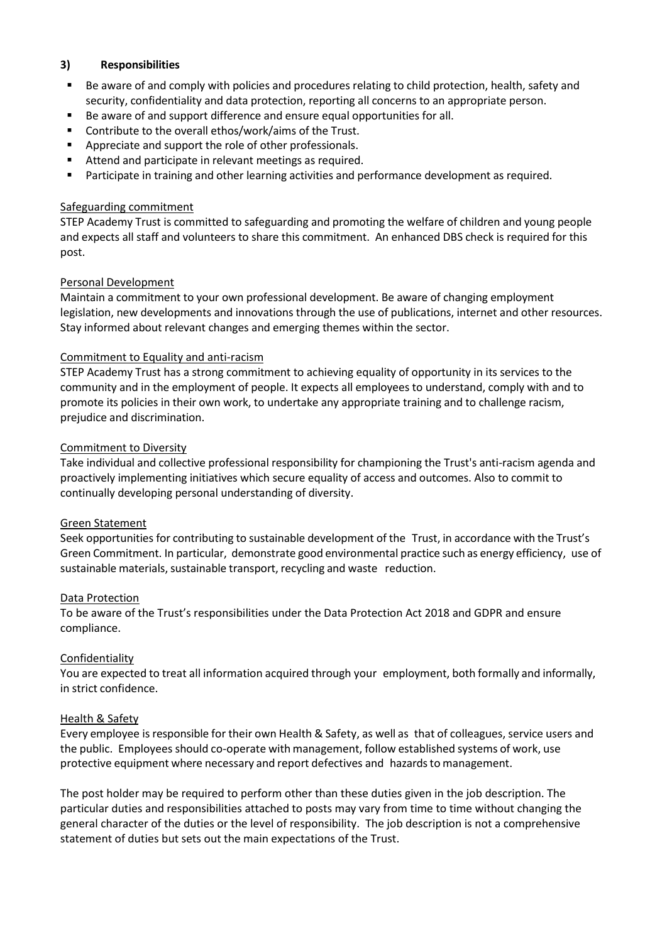### **3) Responsibilities**

- Be aware of and comply with policies and procedures relating to child protection, health, safety and security, confidentiality and data protection, reporting all concerns to an appropriate person.
- Be aware of and support difference and ensure equal opportunities for all.
- Contribute to the overall ethos/work/aims of the Trust.
- Appreciate and support the role of other professionals.
- Attend and participate in relevant meetings as required.
- **Participate in training and other learning activities and performance development as required.**

## Safeguarding commitment

STEP Academy Trust is committed to safeguarding and promoting the welfare of children and young people and expects all staff and volunteers to share this commitment. An enhanced DBS check is required for this post.

### Personal Development

Maintain a commitment to your own professional development. Be aware of changing employment legislation, new developments and innovations through the use of publications, internet and other resources. Stay informed about relevant changes and emerging themes within the sector.

### Commitment to Equality and anti-racism

STEP Academy Trust has a strong commitment to achieving equality of opportunity in its services to the community and in the employment of people. It expects all employees to understand, comply with and to promote its policies in their own work, to undertake any appropriate training and to challenge racism, prejudice and discrimination.

### Commitment to Diversity

Take individual and collective professional responsibility for championing the Trust's anti-racism agenda and proactively implementing initiatives which secure equality of access and outcomes. Also to commit to continually developing personal understanding of diversity.

#### Green Statement

Seek opportunities for contributing to sustainable development of the Trust, in accordance with the Trust's Green Commitment. In particular, demonstrate good environmental practice such as energy efficiency, use of sustainable materials, sustainable transport, recycling and waste reduction.

#### Data Protection

To be aware of the Trust's responsibilities under the Data Protection Act 2018 and GDPR and ensure compliance.

# Confidentiality

You are expected to treat all information acquired through your employment, both formally and informally, in strict confidence.

#### Health & Safety

Every employee is responsible for their own Health & Safety, as well as that of colleagues, service users and the public. Employees should co-operate with management, follow established systems of work, use protective equipment where necessary and report defectives and hazards to management.

The post holder may be required to perform other than these duties given in the job description. The particular duties and responsibilities attached to posts may vary from time to time without changing the general character of the duties or the level of responsibility. The job description is not a comprehensive statement of duties but sets out the main expectations of the Trust.